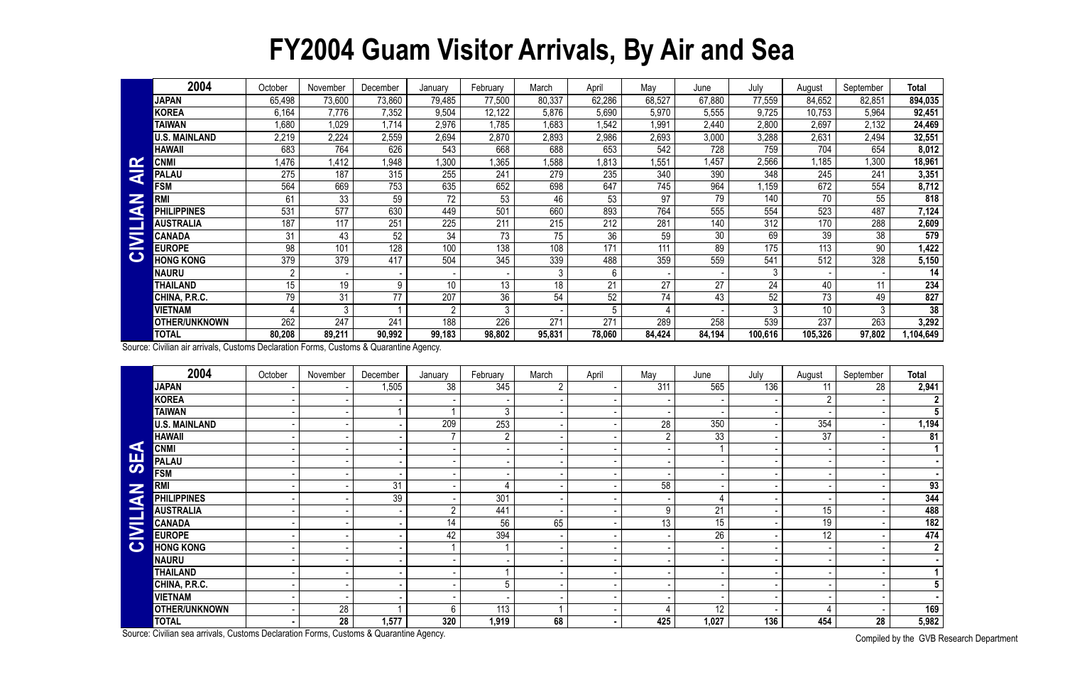## **FY2004 Guam Visitor Arrivals, By Air and Sea**

|                         | 2004                 | October          | November | December        | January | February       | March  | April  | May    | June   | July           | August  | September | <b>Total</b>     |
|-------------------------|----------------------|------------------|----------|-----------------|---------|----------------|--------|--------|--------|--------|----------------|---------|-----------|------------------|
|                         | <b>JAPAN</b>         | 65,498           | 73,600   | 73,860          | 79,485  | 77,500         | 80,337 | 62,286 | 68,527 | 67,880 | 77,559         | 84,652  | 82,851    | 894,035          |
|                         | KOREA                | 6,164            | 7,776    | 7,352           | 9,504   | 12,122         | 5,876  | 5,690  | 5,970  | 5,555  | 9,725          | 10,753  | 5,964     | 92,451           |
|                         | <b>TAIWAN</b>        | 1,680            | 1,029    | 1,714           | 2,976   | ,785           | 1,683  | 1,542  | 1,991  | 2,440  | 2,800          | 2,697   | 2,132     | 24,469           |
|                         | <b>U.S. MAINLAND</b> | 2,219            | 2,224    | 2,559           | 2,694   | 2,870          | 2,893  | 2,986  | 2,693  | 3,000  | 3,288          | 2,631   | 2,494     | 32,551           |
|                         | <b>HAWAII</b>        | 683              | 764      | 626             | 543     | 668            | 688    | 653    | 542    | 728    | 759            | 704     | 654       | 8,012            |
| <b>IN</b>               | <b>CNMI</b>          | ,476             | 1,412    | 1,948           | ,300    | ,365           | 1,588  | 1,813  | ,551   | 1,457  | 2,566          | 1,185   | ,300      | 18,961           |
| $\overline{\textbf{z}}$ | <b>PALAU</b>         | 275              | 187      | 315             | 255     | 241            | 279    | 235    | 340    | 390    | 348            | 245     | 241       | 3,351            |
|                         | <b>FSM</b>           | 564              | 669      | 753             | 635     | 652            | 698    | 647    | 745    | 964    | ,159           | 672     | 554       | 8,712            |
| Z                       | <b>RM</b>            | 61               | 33       | 59              | 72      | 53             | 46     | 53     | 97     | 79     | 140            | 70      | 55        | 818              |
| G                       | <b>IPPINES</b>       | 531              | 577      | 630             | 449     | 501            | 660    | 893    | 764    | 555    | 554            | 523     | 487       | 7,124            |
|                         | <b>AUSTRALIA</b>     | 187              | 117      | 25 <sup>′</sup> | 225     | 211            | 215    | 212    | 281    | 140    | 312            | 170     | 288       | 2,609            |
| $\overline{\mathbf{z}}$ | <b>CANADA</b>        | 31               | 43       | 52              | 34      | 73             | 75     | 36     | 59     | 30     | 69             | 39      | 38        | 579              |
|                         | <b>EUROPE</b>        | 98               | 101      | 128             | 100     | 138            | 108    | 171    | 111    | 89     | 175            | 113     | 90        | 1,422            |
| $\mathbf C$             | <b>HONG KONG</b>     | 379              | 379      | 417             | 504     | 345            | 339    | 488    | 359    | 559    | 541            | 512     | 328       | 5,150            |
|                         | NAURU                | $\overline{2}$   |          |                 |         |                | 3      | 6      |        |        | $\mathfrak{Z}$ |         |           | 14               |
|                         | <b>THAILAND</b>      | 15 <sup>15</sup> | 19       | 9               | 10      | 13             | 18     | 21     | 27     | 27     | 24             | 40      | 11        | $2\overline{34}$ |
|                         | CHINA, P.R.C.        | 79               | 31       | 77              | 207     | 36             | 54     | 52     | 74     | 43     | 52             | 73      | 49        | 827              |
|                         | VIETNAM              |                  | 3        |                 | ∩       | $\mathfrak{Z}$ |        |        |        |        | 3              | 10      | ົ         | 38               |
|                         | <b>OTHER/UNKNOWN</b> | 262              | 247      | 24 <sup>′</sup> | 188     | 226            | 271    | 271    | 289    | 258    | 539            | 237     | 263       | 3,292            |
|                         | <b>TOTAL</b>         | 80,208           | 89,211   | 90,992          | 99,183  | 98,802         | 95,831 | 78,060 | 84,424 | 84,194 | 100,616        | 105,326 | 97,802    | 104,649          |

|                                      | <b>CNMI</b>                                                                            | 1,476           | 1,412            | 1,948    | 1,300           | 1,365           | 1,588           | 1,813          | 1,551           | 1,457           | 2,566            | 1,185            | 1,300           | 18,961                |
|--------------------------------------|----------------------------------------------------------------------------------------|-----------------|------------------|----------|-----------------|-----------------|-----------------|----------------|-----------------|-----------------|------------------|------------------|-----------------|-----------------------|
| <b>AIR</b>                           | <b>PALAU</b>                                                                           | 275             | 187              | 315      | 255             | 241             | 279             | 235            | 340             | 390             | 348              | $\overline{245}$ | 241             | 3,351                 |
| $\tilde{\mathbf{z}}$<br><b>VEIND</b> | <b>FSM</b>                                                                             | 564             | 669              | 753      | 635             | 652             | 698             | 647            | 745             | 964             | 1,159            | 672              | 554             | 8,712                 |
|                                      | <b>RMI</b>                                                                             | 61              | 33               | 59       | $\overline{72}$ | 53              | 46              | 53             | 97              | 79              | 140              | 70               | 55              | 818                   |
|                                      | <b>PHILIPPINES</b>                                                                     | 531             | $\overline{577}$ | 630      | 449             | 501             | 660             | 893            | 764             | 555             | 554              | 523              | 487             | 7,124                 |
|                                      | <b>AUSTRALIA</b>                                                                       | 187             | 117              | 251      | 225             | 211             | 215             | 212            | 281             | 140             | 312              | 170              | 288             | 2,609                 |
|                                      | <b>CANADA</b>                                                                          | 31              | 43               | 52       | 34              | $\overline{73}$ | $\overline{75}$ | 36             | 59              | $\overline{30}$ | 69               | 39               | $\overline{38}$ | 579                   |
|                                      | <b>EUROPE</b>                                                                          | $\overline{98}$ | 101              | 128      | 100             | 138             | 108             | 171            | 111             | 89              | 175              | 113              | 90              | 1,422                 |
|                                      | <b>HONG KONG</b>                                                                       | 379             | 379              | 417      | 504             | 345             | 339             | 488            | 359             | 559             | $\overline{541}$ | 512              | 328             | 5,150                 |
|                                      | <b>NAURU</b>                                                                           | $\overline{2}$  |                  |          |                 |                 | $\mathbf{3}$    | 6              |                 |                 | 3                |                  |                 | 14                    |
|                                      | <b>THAILAND</b>                                                                        | $\overline{15}$ | 19               | 9        | 10 <sup>°</sup> | 13              | $\overline{18}$ | 21             | 27              | 27              | $\overline{24}$  | 40               | 11              | 234                   |
|                                      | CHINA, P.R.C.                                                                          | 79              | $\overline{31}$  | 77       | 207             | 36              | 54              | 52             | 74              | 43              | 52               | $\overline{73}$  | 49              | 827                   |
|                                      | <b>VIETNAM</b>                                                                         | $\overline{4}$  | $\overline{3}$   |          |                 | $\mathfrak{Z}$  |                 | 5 <sup>5</sup> |                 |                 | 3                | $\overline{10}$  | 3               | 38                    |
|                                      | OTHER/UNKNOWN                                                                          | 262             | 247              | 241      | 188             | 226             | 271             | 271            | 289             | 258             | 539              | 237              | 263             | 3,292                 |
|                                      | <b>TOTAL</b>                                                                           | 80,208          | 89,211           | 90,992   | 99,183          | 98,802          | 95,831          | 78,060         | 84,424          | 84,194          | 100,616          | 105,326          | 97,802          | 1,104,649             |
|                                      | Source: Civilian air arrivals, Customs Declaration Forms, Customs & Quarantine Agency. |                 |                  |          |                 |                 |                 |                |                 |                 |                  |                  |                 |                       |
|                                      | 2004                                                                                   | October         | November         | December | January         | February        | March           | April          | May             | June            | July             | August           | September       | <b>Total</b>          |
|                                      | <b>JAPAN</b>                                                                           |                 |                  | 1,505    | 38              | 345             | $2^{\circ}$     |                | 311             | 565             | 136              | 11               | 28              | 2,941                 |
|                                      | <b>KOREA</b>                                                                           |                 |                  |          |                 |                 |                 |                |                 |                 |                  | $\overline{2}$   |                 | $\mathbf{2}$          |
|                                      | <b>TAIWAN</b>                                                                          |                 |                  |          |                 | $\mathfrak{Z}$  |                 |                |                 |                 |                  |                  |                 | $\overline{5}$        |
|                                      | <b>U.S. MAINLAND</b>                                                                   |                 |                  |          | 209             | 253             |                 |                | 28              | 350             |                  | 354              |                 | 1,194                 |
|                                      | <b>HAWAII</b>                                                                          |                 |                  |          |                 | $\overline{2}$  |                 |                | $\overline{2}$  | 33              |                  | $\overline{37}$  |                 | 81                    |
| $\blacktriangleleft$                 | <b>CNMI</b>                                                                            |                 |                  |          |                 |                 |                 |                |                 |                 |                  |                  |                 | $\mathbf 1$           |
| <b>95</b>                            | <b>PALAU</b>                                                                           |                 |                  |          |                 |                 |                 |                |                 |                 |                  |                  |                 | $\blacksquare$        |
|                                      | <b>FSM</b>                                                                             |                 |                  |          |                 |                 |                 |                |                 |                 |                  |                  |                 | $\blacksquare$        |
|                                      | <b>RMI</b>                                                                             |                 |                  | 31       |                 |                 |                 |                | 58              |                 |                  |                  |                 | 93                    |
|                                      | <b>PHILIPPINES</b>                                                                     |                 |                  | 39       |                 | 301             |                 |                |                 |                 |                  |                  |                 | 344                   |
|                                      | <b>AUSTRALIA</b>                                                                       |                 |                  |          | $\overline{2}$  | 441             |                 |                | 9               | 21              |                  | $\overline{15}$  |                 | 488                   |
|                                      | <b>CANADA</b>                                                                          |                 |                  |          | 14              | $\overline{56}$ | 65              |                | $\overline{13}$ | 15              |                  | $\overline{19}$  |                 | 182                   |
| <b>CIVILIAN</b>                      | <b>EUROPE</b>                                                                          |                 |                  |          | 42              | 394             |                 |                |                 | $\overline{26}$ |                  | $\overline{12}$  |                 | 474                   |
|                                      | <b>HONG KONG</b>                                                                       |                 |                  |          | $\overline{1}$  | $\overline{1}$  |                 |                |                 |                 |                  |                  |                 | $\overline{2}$        |
|                                      | <b>NAURU</b>                                                                           |                 |                  |          |                 |                 |                 |                |                 |                 |                  |                  |                 |                       |
|                                      | <b>THAILAND</b>                                                                        |                 |                  |          |                 |                 |                 |                |                 |                 |                  |                  |                 | $\mathbf 1$           |
|                                      | CHINA, P.R.C.                                                                          |                 |                  |          |                 | 5               |                 |                |                 |                 |                  |                  |                 | $5\phantom{.0}$       |
|                                      | <b>VIETNAM</b>                                                                         |                 |                  |          |                 |                 |                 |                |                 |                 |                  |                  |                 |                       |
|                                      | <b>OTHER/UNKNOWN</b>                                                                   |                 | 28               |          | 6               | 113             |                 |                |                 | 12              |                  | $\overline{4}$   |                 | 169                   |
|                                      | <b>TOTAL</b>                                                                           |                 | 28               | 1,577    | 320             | 1,919           | 68              |                | 425             | 1,027           | 136              | 454              | 28              | 5,982                 |
|                                      | Source: Civilian sea arrivals, Customs Declaration Forms, Customs & Quarantine Agency. |                 |                  |          |                 |                 |                 |                |                 |                 |                  |                  |                 | Compiled by the CVD D |

Compiled by the GVB Research Department